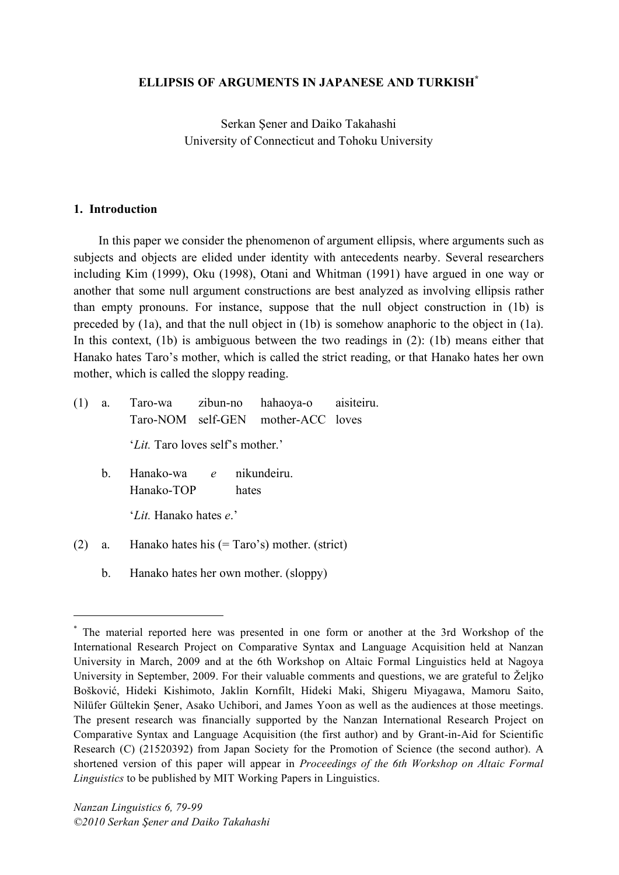# **ELLIPSIS OF ARGUMENTS IN JAPANESE AND TURKISH\***

Serkan Şener and Daiko Takahashi University of Connecticut and Tohoku University

#### **1. Introduction**

In this paper we consider the phenomenon of argument ellipsis, where arguments such as subjects and objects are elided under identity with antecedents nearby. Several researchers including Kim (1999), Oku (1998), Otani and Whitman (1991) have argued in one way or another that some null argument constructions are best analyzed as involving ellipsis rather than empty pronouns. For instance, suppose that the null object construction in (1b) is preceded by (1a), and that the null object in (1b) is somehow anaphoric to the object in (1a). In this context, (1b) is ambiguous between the two readings in (2): (1b) means either that Hanako hates Taro's mother, which is called the strict reading, or that Hanako hates her own mother, which is called the sloppy reading.

- (1) a. Taro-wa zibun-no hahaoya-o aisiteiru. Taro-NOM self-GEN mother-ACC loves 'Lit. Taro loves self's mother.' b. Hanako-wa *e* nikundeiru.
	- Hanako-TOP hates

'*Lit.* Hanako hates *e*.'

- (2) a. Hanako hates his (= Taro's) mother. (strict)
	- b. Hanako hates her own mother. (sloppy)

 <sup>\*</sup> The material reported here was presented in one form or another at the 3rd Workshop of the International Research Project on Comparative Syntax and Language Acquisition held at Nanzan University in March, 2009 and at the 6th Workshop on Altaic Formal Linguistics held at Nagoya University in September, 2009. For their valuable comments and questions, we are grateful to Željko Bošković, Hideki Kishimoto, Jaklin Kornfilt, Hideki Maki, Shigeru Miyagawa, Mamoru Saito, Nilüfer Gültekin Şener, Asako Uchibori, and James Yoon as well as the audiences at those meetings. The present research was financially supported by the Nanzan International Research Project on Comparative Syntax and Language Acquisition (the first author) and by Grant-in-Aid for Scientific Research (C) (21520392) from Japan Society for the Promotion of Science (the second author). A shortened version of this paper will appear in *Proceedings of the 6th Workshop on Altaic Formal Linguistics* to be published by MIT Working Papers in Linguistics.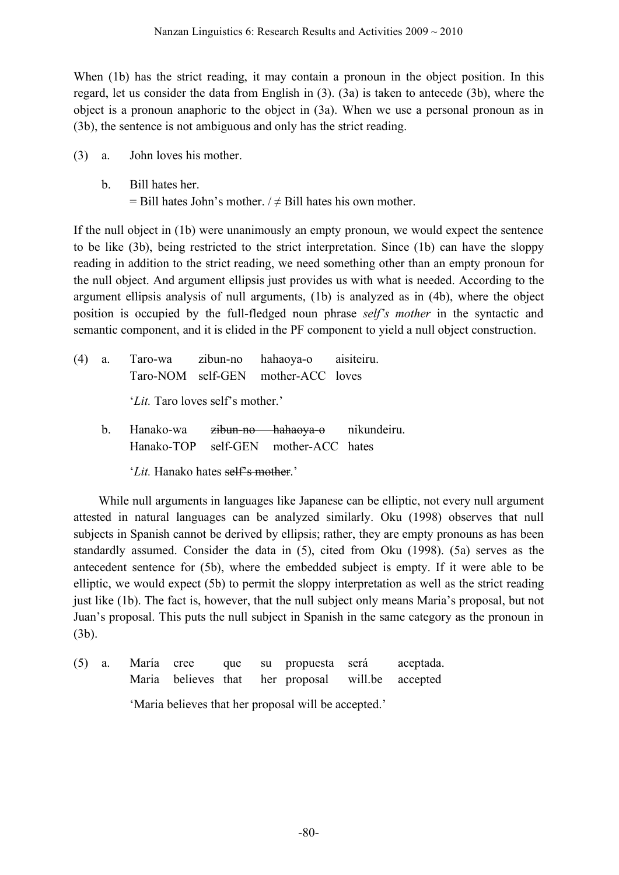When (1b) has the strict reading, it may contain a pronoun in the object position. In this regard, let us consider the data from English in (3). (3a) is taken to antecede (3b), where the object is a pronoun anaphoric to the object in (3a). When we use a personal pronoun as in (3b), the sentence is not ambiguous and only has the strict reading.

- (3) a. John loves his mother.
	- b. Bill hates her.  $=$  Bill hates John's mother. /  $\neq$  Bill hates his own mother.

If the null object in (1b) were unanimously an empty pronoun, we would expect the sentence to be like (3b), being restricted to the strict interpretation. Since (1b) can have the sloppy reading in addition to the strict reading, we need something other than an empty pronoun for the null object. And argument ellipsis just provides us with what is needed. According to the argument ellipsis analysis of null arguments, (1b) is analyzed as in (4b), where the object position is occupied by the full-fledged noun phrase *self's mother* in the syntactic and semantic component, and it is elided in the PF component to yield a null object construction.

| (4) a. |                                           | Taro-wa zibun-no hahaoya-o aisiteiru.<br>Taro-NOM self-GEN mother-ACC loves |  |
|--------|-------------------------------------------|-----------------------------------------------------------------------------|--|
|        | ' <i>Lit</i> . Taro loves self's mother.' |                                                                             |  |
|        |                                           | b. Hanako-wa zibun-no hahaoya-o nikundeiru.                                 |  |

- Hanako-TOP self-GEN mother-ACC hates
	- '*Lit*. Hanako hates self's mother.'

While null arguments in languages like Japanese can be elliptic, not every null argument attested in natural languages can be analyzed similarly. Oku (1998) observes that null subjects in Spanish cannot be derived by ellipsis; rather, they are empty pronouns as has been standardly assumed. Consider the data in (5), cited from Oku (1998). (5a) serves as the antecedent sentence for (5b), where the embedded subject is empty. If it were able to be elliptic, we would expect (5b) to permit the sloppy interpretation as well as the strict reading just like (1b). The fact is, however, that the null subject only means Maria's proposal, but not Juan's proposal. This puts the null subject in Spanish in the same category as the pronoun in (3b).

(5) a. María cree que su propuesta será aceptada. Maria believes that her proposal will.be accepted 'Maria believes that her proposal will be accepted.'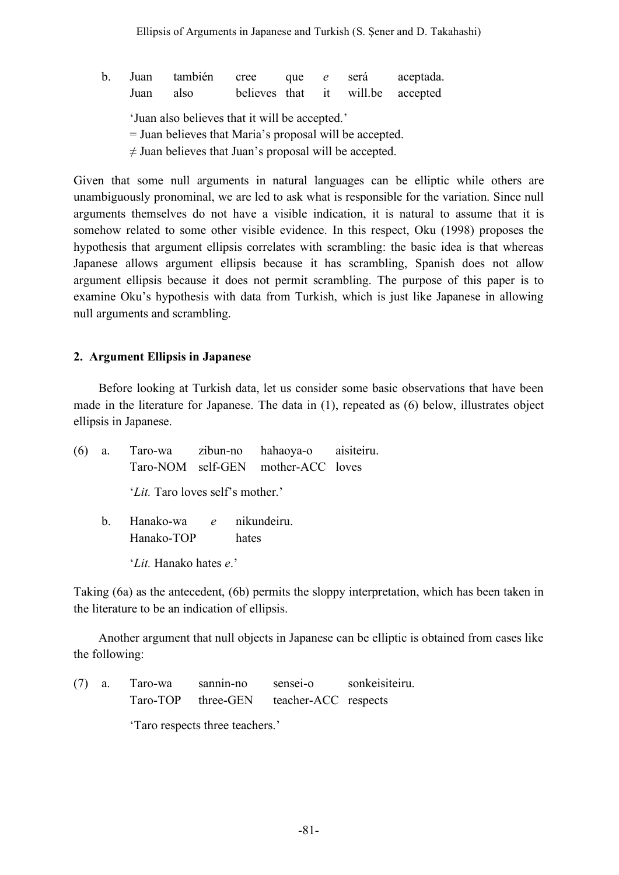b. Juan también cree que *e* será aceptada. Juan also believes that it will.be accepted 'Juan also believes that it will be accepted.' = Juan believes that Maria's proposal will be accepted.  $\neq$  Juan believes that Juan's proposal will be accepted.

Given that some null arguments in natural languages can be elliptic while others are unambiguously pronominal, we are led to ask what is responsible for the variation. Since null arguments themselves do not have a visible indication, it is natural to assume that it is somehow related to some other visible evidence. In this respect, Oku (1998) proposes the hypothesis that argument ellipsis correlates with scrambling: the basic idea is that whereas Japanese allows argument ellipsis because it has scrambling, Spanish does not allow argument ellipsis because it does not permit scrambling. The purpose of this paper is to examine Oku's hypothesis with data from Turkish, which is just like Japanese in allowing null arguments and scrambling.

# **2. Argument Ellipsis in Japanese**

Before looking at Turkish data, let us consider some basic observations that have been made in the literature for Japanese. The data in (1), repeated as (6) below, illustrates object ellipsis in Japanese.

| (6)                    |  | a. Taro-wa zibun-no hahaoya-o aisiteiru.  |  |       | Taro-NOM self-GEN mother-ACC loves |  |  |  |
|------------------------|--|-------------------------------------------|--|-------|------------------------------------|--|--|--|
|                        |  | ' <i>Lit</i> . Taro loves self's mother.' |  |       |                                    |  |  |  |
|                        |  | b. Hanako-wa e nikundeiru.<br>Hanako-TOP  |  | hates |                                    |  |  |  |
| 'Lit. Hanako hates e.' |  |                                           |  |       |                                    |  |  |  |

Taking (6a) as the antecedent, (6b) permits the sloppy interpretation, which has been taken in the literature to be an indication of ellipsis.

Another argument that null objects in Japanese can be elliptic is obtained from cases like the following:

(7) a. Taro-wa sannin-no sensei-o sonkeisiteiru. Taro-TOP three-GEN teacher-ACC respects

'Taro respects three teachers.'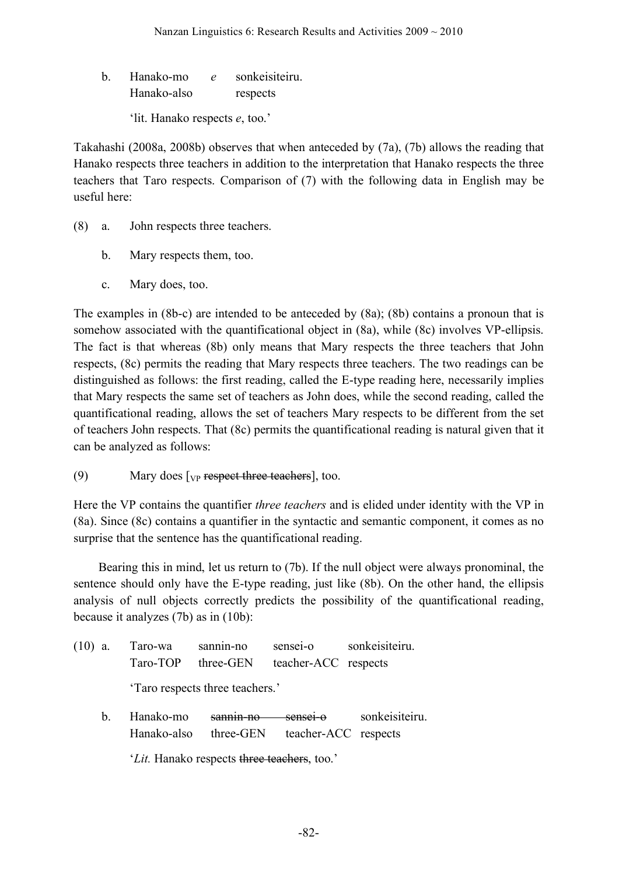b. Hanako-mo *e* sonkeisiteiru. Hanako-also respects

'lit. Hanako respects *e*, too.'

Takahashi (2008a, 2008b) observes that when anteceded by (7a), (7b) allows the reading that Hanako respects three teachers in addition to the interpretation that Hanako respects the three teachers that Taro respects. Comparison of (7) with the following data in English may be useful here:

- (8) a. John respects three teachers.
	- b. Mary respects them, too.
	- c. Mary does, too.

The examples in (8b-c) are intended to be anteceded by (8a); (8b) contains a pronoun that is somehow associated with the quantificational object in (8a), while (8c) involves VP-ellipsis. The fact is that whereas (8b) only means that Mary respects the three teachers that John respects, (8c) permits the reading that Mary respects three teachers. The two readings can be distinguished as follows: the first reading, called the E-type reading here, necessarily implies that Mary respects the same set of teachers as John does, while the second reading, called the quantificational reading, allows the set of teachers Mary respects to be different from the set of teachers John respects. That (8c) permits the quantificational reading is natural given that it can be analyzed as follows:

(9) Mary does  $[\text{VP}$  respect three teachers], too.

Here the VP contains the quantifier *three teachers* and is elided under identity with the VP in (8a). Since (8c) contains a quantifier in the syntactic and semantic component, it comes as no surprise that the sentence has the quantificational reading.

Bearing this in mind, let us return to (7b). If the null object were always pronominal, the sentence should only have the E-type reading, just like (8b). On the other hand, the ellipsis analysis of null objects correctly predicts the possibility of the quantificational reading, because it analyzes (7b) as in (10b):

| $(10)$ a. |                                 | Taro-wa<br>Taro-TOP                         | sannin-no<br>three-GEN   | sensei-o<br>teacher-ACC respects | sonkeisiteiru. |  |  |
|-----------|---------------------------------|---------------------------------------------|--------------------------|----------------------------------|----------------|--|--|
|           | 'Taro respects three teachers.' |                                             |                          |                                  |                |  |  |
|           | h.                              | Hanako-mo<br>Hanako-also                    | $sannin$ no<br>three-GEN | senset-o<br>teacher-ACC respects | sonkeisiteiru. |  |  |
|           |                                 | 'Lit. Hanako respects three teachers, too.' |                          |                                  |                |  |  |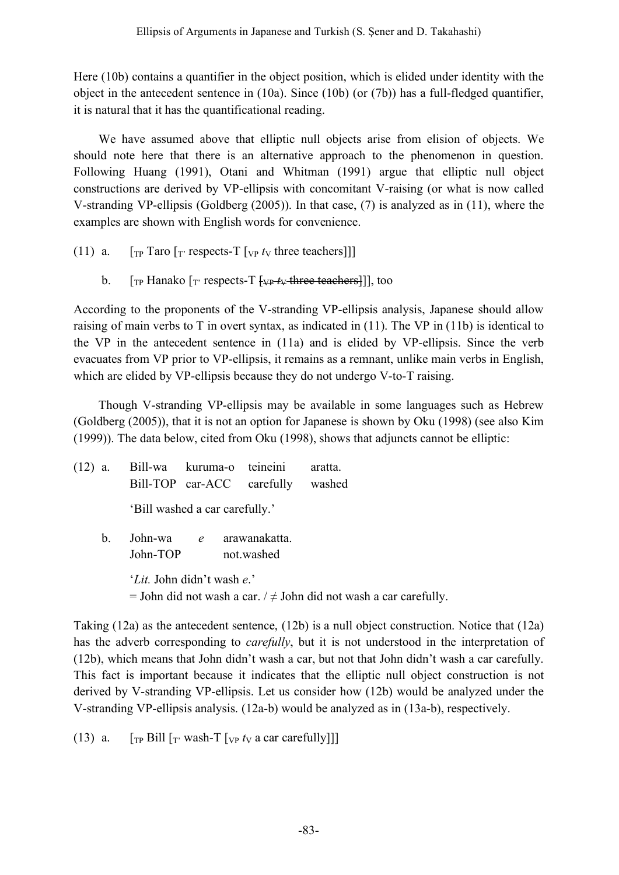Here (10b) contains a quantifier in the object position, which is elided under identity with the object in the antecedent sentence in (10a). Since (10b) (or (7b)) has a full-fledged quantifier, it is natural that it has the quantificational reading.

We have assumed above that elliptic null objects arise from elision of objects. We should note here that there is an alternative approach to the phenomenon in question. Following Huang (1991), Otani and Whitman (1991) argue that elliptic null object constructions are derived by VP-ellipsis with concomitant V-raising (or what is now called V-stranding VP-ellipsis (Goldberg (2005)). In that case, (7) is analyzed as in (11), where the examples are shown with English words for convenience.

- (11) a.  $\int_{\text{TP}} \text{T} \text{aro} \left[ \frac{\text{T}}{\text{T}} \text{respects-T} \left[ \frac{\text{T}}{\text{VP}} t_{\text{V}} \text{three teachers} \right] \right]$ 
	- b.  $[\text{TP}$  Hanako  $[\text{TP}$  respects-T  $[\downarrow \downarrow \downarrow \downarrow + \text{three}$  teachers]], too

According to the proponents of the V-stranding VP-ellipsis analysis, Japanese should allow raising of main verbs to T in overt syntax, as indicated in (11). The VP in (11b) is identical to the VP in the antecedent sentence in (11a) and is elided by VP-ellipsis. Since the verb evacuates from VP prior to VP-ellipsis, it remains as a remnant, unlike main verbs in English, which are elided by VP-ellipsis because they do not undergo V-to-T raising.

Though V-stranding VP-ellipsis may be available in some languages such as Hebrew (Goldberg (2005)), that it is not an option for Japanese is shown by Oku (1998) (see also Kim (1999)). The data below, cited from Oku (1998), shows that adjuncts cannot be elliptic:

| $(12)$ a.      |                                                                                                      | Bill-wa kuruma-o teineini<br>Bill-TOP car-ACC carefully |            | aratta.<br>washed |  |
|----------------|------------------------------------------------------------------------------------------------------|---------------------------------------------------------|------------|-------------------|--|
|                |                                                                                                      | 'Bill washed a car carefully.'                          |            |                   |  |
| $\mathbf{b}$ . | John-TOP                                                                                             | John-wa e arawanakatta.                                 | not.washed |                   |  |
|                | 'Lit. John didn't wash e.'<br>= John did not wash a car. $/ \neq$ John did not wash a car carefully. |                                                         |            |                   |  |

Taking (12a) as the antecedent sentence, (12b) is a null object construction. Notice that (12a) has the adverb corresponding to *carefully*, but it is not understood in the interpretation of (12b), which means that John didn't wash a car, but not that John didn't wash a car carefully. This fact is important because it indicates that the elliptic null object construction is not derived by V-stranding VP-ellipsis. Let us consider how (12b) would be analyzed under the V-stranding VP-ellipsis analysis. (12a-b) would be analyzed as in (13a-b), respectively.

(13) a.  $\int_{\text{TP}}$  Bill  $\int_{\text{T}}$  wash-T  $\int_{\text{VP}} t_{\text{V}}$  a car carefully]]]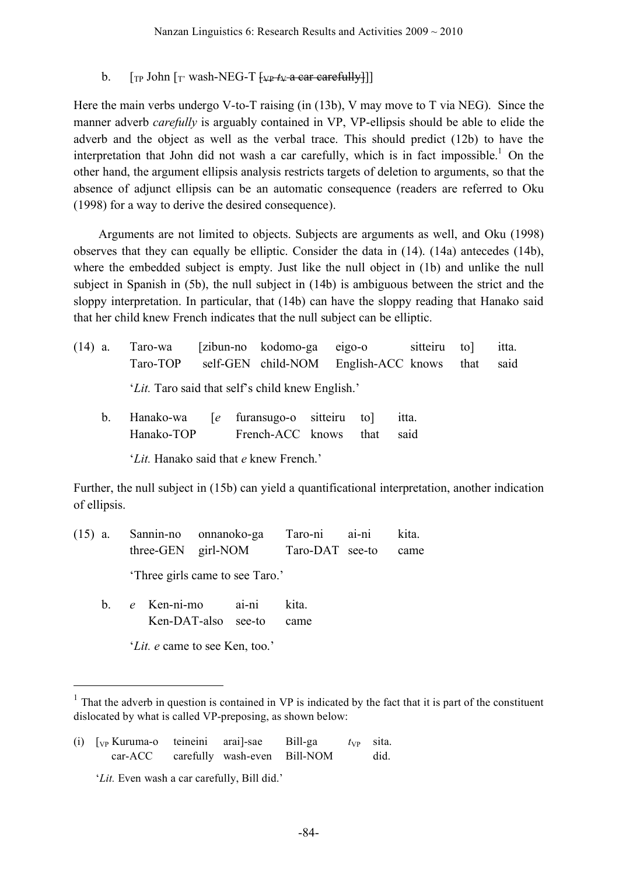#### b.  $\left[\begin{array}{cc} \n\text{[T] F} \n\end{array}\right]$  wash-NEG-T  $\left[\begin{array}{cc} \n\text{[T] F} \n\end{array}\right]$

Here the main verbs undergo V-to-T raising (in (13b), V may move to T via NEG). Since the manner adverb *carefully* is arguably contained in VP, VP-ellipsis should be able to elide the adverb and the object as well as the verbal trace. This should predict (12b) to have the interpretation that John did not wash a car carefully, which is in fact impossible.<sup>1</sup> On the other hand, the argument ellipsis analysis restricts targets of deletion to arguments, so that the absence of adjunct ellipsis can be an automatic consequence (readers are referred to Oku (1998) for a way to derive the desired consequence).

Arguments are not limited to objects. Subjects are arguments as well, and Oku (1998) observes that they can equally be elliptic. Consider the data in (14). (14a) antecedes (14b), where the embedded subject is empty. Just like the null object in (1b) and unlike the null subject in Spanish in (5b), the null subject in (14b) is ambiguous between the strict and the sloppy interpretation. In particular, that (14b) can have the sloppy reading that Hanako said that her child knew French indicates that the null subject can be elliptic.

- (14) a. Taro-wa [zibun-no kodomo-ga eigo-o sitteiru to] itta. Taro-TOP self-GEN child-NOM English-ACC knows that said '*Lit.* Taro said that self's child knew English.'
	- b. Hanako-wa [*e* furansugo-o sitteiru to] itta. Hanako-TOP French-ACC knows that said

'*Lit.* Hanako said that *e* knew French.'

Further, the null subject in (15b) can yield a quantificational interpretation, another indication of ellipsis.

(15) a. Sannin-no onnanoko-ga Taro-ni ai-ni kita. three-GEN girl-NOM Taro-DAT see-to came

'Three girls came to see Taro.'

b. *e* Ken-ni-mo ai-ni kita. Ken-DAT-also see-to came

'*Lit. e* came to see Ken, too.'

(i)  $\lceil \sqrt{V_P} \rceil$  Kuruma-o teineini arail-sae Bill-ga  $t_{VP}$  sita. car-ACC carefully wash-even Bill-NOM did.

'*Lit.* Even wash a car carefully, Bill did.'

 $1$ . That the adverb in question is contained in VP is indicated by the fact that it is part of the constituent dislocated by what is called VP-preposing, as shown below: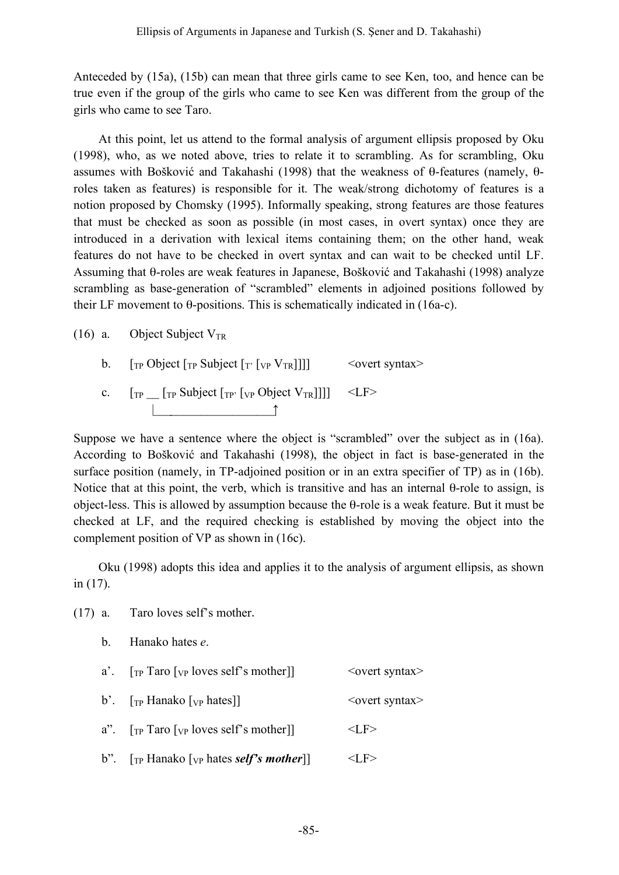Anteceded by (15a), (15b) can mean that three girls came to see Ken, too, and hence can be true even if the group of the girls who came to see Ken was different from the group of the girls who came to see Taro.

At this point, let us attend to the formal analysis of argument ellipsis proposed by Oku (1998), who, as we noted above, tries to relate it to scrambling. As for scrambling, Oku assumes with Bošković and Takahashi (1998) that the weakness of θ-features (namely, θroles taken as features) is responsible for it. The weak/strong dichotomy of features is a notion proposed by Chomsky (1995). Informally speaking, strong features are those features that must be checked as soon as possible (in most cases, in overt syntax) once they are introduced in a derivation with lexical items containing them; on the other hand, weak features do not have to be checked in overt syntax and can wait to be checked until LF. Assuming that θ-roles are weak features in Japanese, Bošković and Takahashi (1998) analyze scrambling as base-generation of "scrambled" elements in adjoined positions followed by their LF movement to θ-positions. This is schematically indicated in (16a-c).

#### (16) a. Object Subject  $V_{TR}$

(17) a. Taro loves self's mother.

- b.  $\int_{\text{TP}}$  Object  $\int_{\text{TP}}$  Subject  $\int_{\text{TP}} \left[ \int_{\text{VP}} V_{\text{TR}} \right] ||\}$  < overt syntax>
- c.  $[\text{TP}$   $[\text{TP}$  Subject  $[\text{TP}$ <sup> $[\text{VP}$ </sup> Object  $V_{TR}$ ]]]] <LF> |\_\_\_\_\_\_\_\_\_\_\_\_\_\_\_\_\_\_\_\_↑

Suppose we have a sentence where the object is "scrambled" over the subject as in (16a). According to Bošković and Takahashi (1998), the object in fact is base-generated in the surface position (namely, in TP-adjoined position or in an extra specifier of TP) as in (16b). Notice that at this point, the verb, which is transitive and has an internal θ-role to assign, is object-less. This is allowed by assumption because the θ-role is a weak feature. But it must be checked at LF, and the required checking is established by moving the object into the complement position of VP as shown in (16c).

Oku (1998) adopts this idea and applies it to the analysis of argument ellipsis, as shown in (17).

| b. Hanako hates e.                                                                                        |                            |
|-----------------------------------------------------------------------------------------------------------|----------------------------|
| a'. $[\text{TP} \text{ Taro } [\text{VP} \text{ loves self's mother}]]$                                   | $\leq$ overt syntax $\geq$ |
| b'. $\lceil \text{TP Hanako} \rceil$ <sub>VP</sub> hates]                                                 | <overt syntax=""></overt>  |
| a". $[\text{TP} \text{ Taro} \, [\text{VP} \, \text{loves} \, \text{self} \, \text{s} \, \text{mother}]]$ | $<$ LF $>$                 |
| b". $\lceil \frac{1}{r} \rceil$ Hanako $\lceil \frac{1}{r} \rceil$ hates self's mother                    | :LF>                       |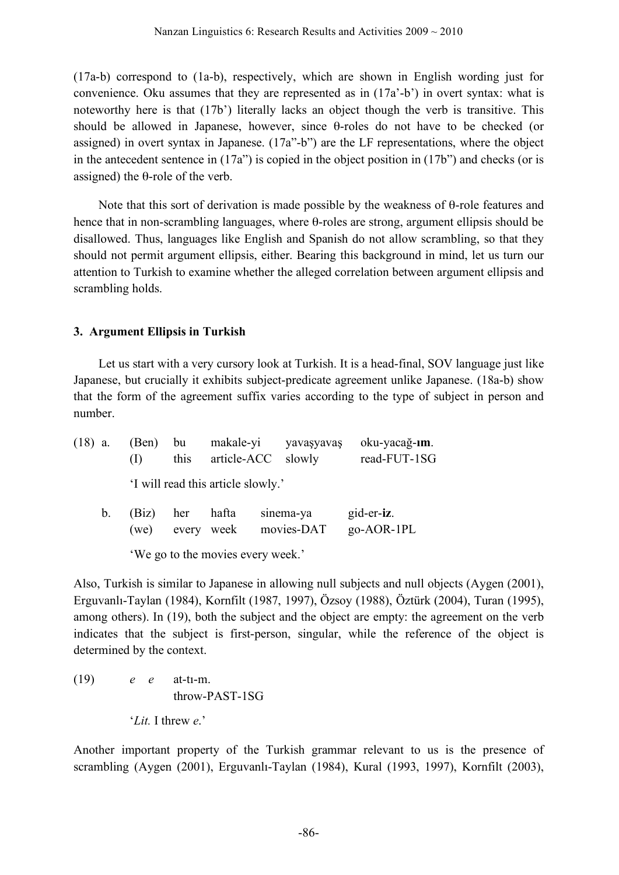(17a-b) correspond to (1a-b), respectively, which are shown in English wording just for convenience. Oku assumes that they are represented as in (17a'-b') in overt syntax: what is noteworthy here is that (17b') literally lacks an object though the verb is transitive. This should be allowed in Japanese, however, since θ-roles do not have to be checked (or assigned) in overt syntax in Japanese. (17a"-b") are the LF representations, where the object in the antecedent sentence in  $(17a)$  is copied in the object position in  $(17b)$  and checks (or is assigned) the θ-role of the verb.

Note that this sort of derivation is made possible by the weakness of θ-role features and hence that in non-scrambling languages, where θ-roles are strong, argument ellipsis should be disallowed. Thus, languages like English and Spanish do not allow scrambling, so that they should not permit argument ellipsis, either. Bearing this background in mind, let us turn our attention to Turkish to examine whether the alleged correlation between argument ellipsis and scrambling holds.

# **3. Argument Ellipsis in Turkish**

Let us start with a very cursory look at Turkish. It is a head-final, SOV language just like Japanese, but crucially it exhibits subject-predicate agreement unlike Japanese. (18a-b) show that the form of the agreement suffix varies according to the type of subject in person and number.

| $(18)$ a. |             | (Ben) bu<br>(1) | this      | article-ACC slowly                 | makale-yi yavaşyavaş    | oku-yacağ-ım.<br>read-FUT-1SG |
|-----------|-------------|-----------------|-----------|------------------------------------|-------------------------|-------------------------------|
|           |             |                 |           | 'I will read this article slowly.' |                         |                               |
|           | $b_{\cdot}$ | (Biz)<br>(we)   | her hafta | every week                         | sinema-ya<br>movies-DAT | gid-er-iz.<br>$go-AOR-1PL$    |
|           |             |                 |           |                                    |                         |                               |

'We go to the movies every week.'

Also, Turkish is similar to Japanese in allowing null subjects and null objects (Aygen (2001), Erguvanlı-Taylan (1984), Kornfilt (1987, 1997), Özsoy (1988), Öztürk (2004), Turan (1995), among others). In (19), both the subject and the object are empty: the agreement on the verb indicates that the subject is first-person, singular, while the reference of the object is determined by the context.

(19) *e e* at-tı-m. throw-PAST-1SG '*Lit.* I threw *e*.'

Another important property of the Turkish grammar relevant to us is the presence of scrambling (Aygen (2001), Erguvanlı-Taylan (1984), Kural (1993, 1997), Kornfilt (2003),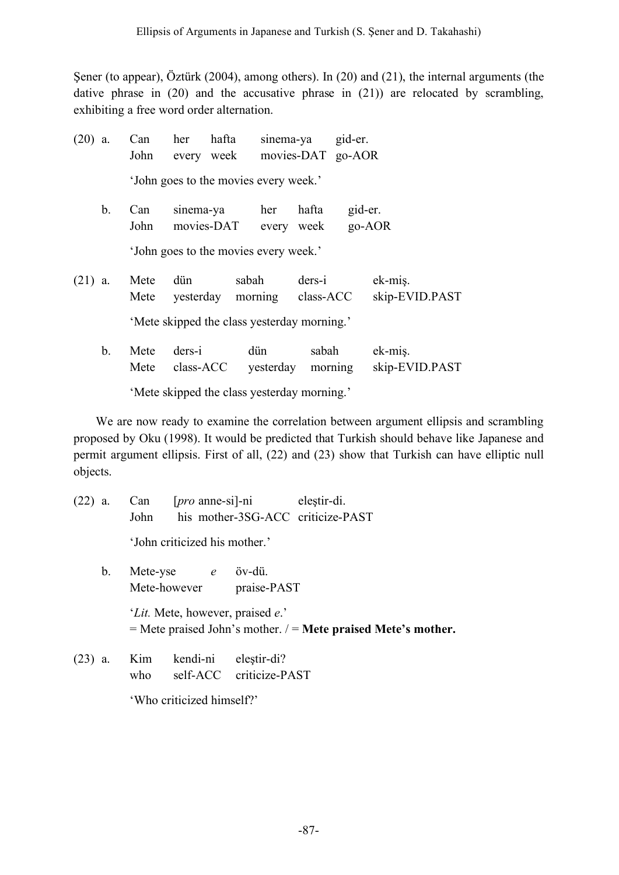Şener (to appear), Öztürk (2004), among others). In (20) and (21), the internal arguments (the dative phrase in (20) and the accusative phrase in (21)) are relocated by scrambling, exhibiting a free word order alternation.

| $(20)$ a.                                   |         | Can<br>John                           | her                   | hafta<br>every week                   |                  | sinema-ya<br>movies-DAT go-AOR | gid-er.             |                           |
|---------------------------------------------|---------|---------------------------------------|-----------------------|---------------------------------------|------------------|--------------------------------|---------------------|---------------------------|
|                                             |         | 'John goes to the movies every week.' |                       |                                       |                  |                                |                     |                           |
|                                             | $b_{-}$ | Can<br>John                           |                       | sinema-ya<br>movies-DAT every week    | her              | hafta                          | gid-er.<br>$go-AOR$ |                           |
|                                             |         |                                       |                       | 'John goes to the movies every week.' |                  |                                |                     |                           |
| $(21)$ a.                                   |         | Mete<br>Mete                          | dün                   | sabah<br>yesterday morning            |                  | ders-i<br>class-ACC            |                     | ek-mis.<br>skip-EVID.PAST |
| 'Mete skipped the class yesterday morning.' |         |                                       |                       |                                       |                  |                                |                     |                           |
|                                             | $b_{-}$ | Mete<br>Mete                          | $ders-i$<br>class-ACC |                                       | dün<br>yesterday | sabah<br>morning               |                     | ek-miş.<br>skip-EVID.PAST |

'Mete skipped the class yesterday morning.'

We are now ready to examine the correlation between argument ellipsis and scrambling proposed by Oku (1998). It would be predicted that Turkish should behave like Japanese and permit argument ellipsis. First of all, (22) and (23) show that Turkish can have elliptic null objects.

| $(22)$ a.      | [ <i>pro</i> anne-si]-ni elestir-di.<br>Can<br>his mother-3SG-ACC criticize-PAST<br>John                              |
|----------------|-----------------------------------------------------------------------------------------------------------------------|
|                | 'John criticized his mother.'                                                                                         |
| $\mathbf{b}$ . | Mete-yse e öv-dü.<br>Mete-however praise-PAST                                                                         |
|                | ' <i>Lit.</i> Mete, however, praised <i>e</i> .'<br>$=$ Mete praised John's mother. $/$ = Mete praised Mete's mother. |
| (23)<br>a.     | Kim kendi-ni eleştir-di?                                                                                              |

who self-ACC criticize-PAST 'Who criticized himself?'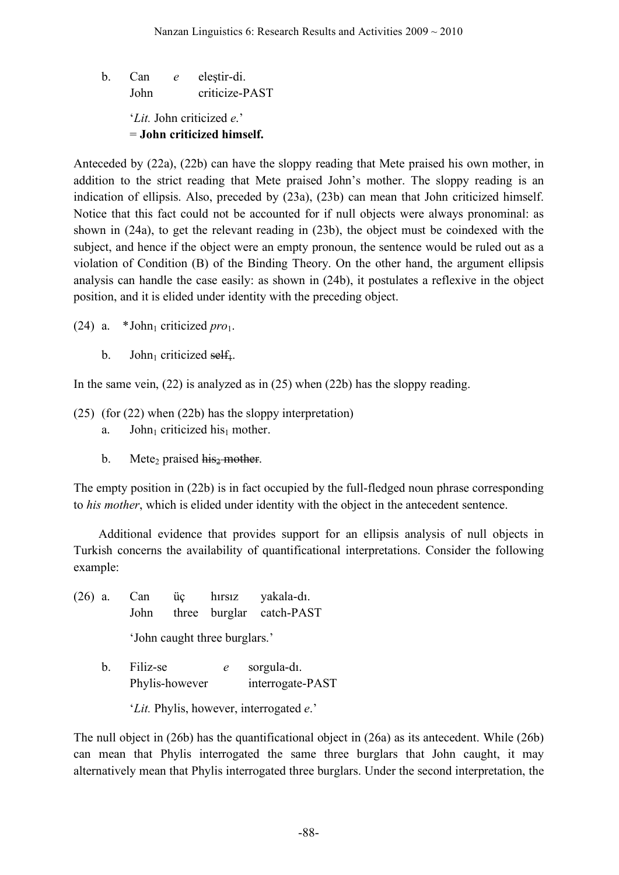b. Can *e* eleştir-di. John criticize-PAST '*Lit.* John criticized *e*.' = **John criticized himself.**

Anteceded by (22a), (22b) can have the sloppy reading that Mete praised his own mother, in addition to the strict reading that Mete praised John's mother. The sloppy reading is an indication of ellipsis. Also, preceded by (23a), (23b) can mean that John criticized himself. Notice that this fact could not be accounted for if null objects were always pronominal: as shown in (24a), to get the relevant reading in (23b), the object must be coindexed with the subject, and hence if the object were an empty pronoun, the sentence would be ruled out as a violation of Condition (B) of the Binding Theory. On the other hand, the argument ellipsis analysis can handle the case easily: as shown in (24b), it postulates a reflexive in the object position, and it is elided under identity with the preceding object.

(24) a.  $*John<sub>1</sub>$  criticized *pro*<sub>1</sub>.

b. John<sub>1</sub> criticized self<sub>1</sub>.

In the same vein,  $(22)$  is analyzed as in  $(25)$  when  $(22b)$  has the sloppy reading.

- (25) (for (22) when (22b) has the sloppy interpretation)
	- a. John<sub>1</sub> criticized his<sub>1</sub> mother.
	- b. Mete<sub>2</sub> praised  $\overrightarrow{his_2}$  mother.

The empty position in (22b) is in fact occupied by the full-fledged noun phrase corresponding to *his mother*, which is elided under identity with the object in the antecedent sentence.

Additional evidence that provides support for an ellipsis analysis of null objects in Turkish concerns the availability of quantificational interpretations. Consider the following example:

- (26) a. Can üç hırsız yakala-dı. John three burglar catch-PAST 'John caught three burglars.'
	- b. Filiz-se *e* sorgula-dı. Phylis-however interrogate-PAST

'*Lit.* Phylis, however, interrogated *e*.'

The null object in (26b) has the quantificational object in (26a) as its antecedent. While (26b) can mean that Phylis interrogated the same three burglars that John caught, it may alternatively mean that Phylis interrogated three burglars. Under the second interpretation, the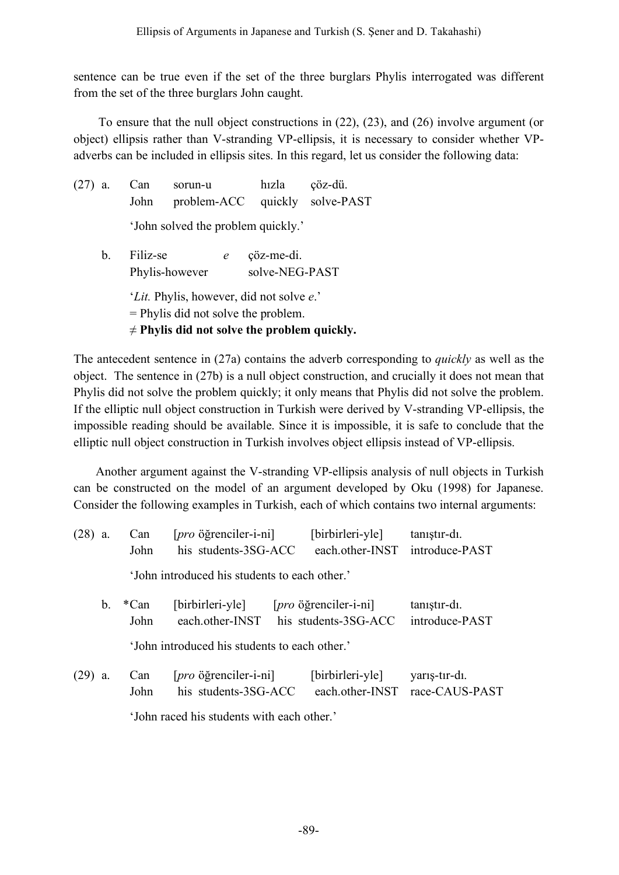sentence can be true even if the set of the three burglars Phylis interrogated was different from the set of the three burglars John caught.

To ensure that the null object constructions in (22), (23), and (26) involve argument (or object) ellipsis rather than V-stranding VP-ellipsis, it is necessary to consider whether VPadverbs can be included in ellipsis sites. In this regard, let us consider the following data:

| (27) | a.             | Can<br>John                        | sorun-u<br>problem-ACC                                                                                                                         |   | hizla                        | çöz-dü.<br>quickly solve-PAST |
|------|----------------|------------------------------------|------------------------------------------------------------------------------------------------------------------------------------------------|---|------------------------------|-------------------------------|
|      |                | 'John solved the problem quickly.' |                                                                                                                                                |   |                              |                               |
|      | $\mathbf{b}$ . | Filiz-se<br>Phylis-however         |                                                                                                                                                | e | çöz-me-di.<br>solve-NEG-PAST |                               |
|      |                |                                    | ' <i>Lit</i> . Phylis, however, did not solve e.'<br>$=$ Phylis did not solve the problem.<br>$\neq$ Phylis did not solve the problem quickly. |   |                              |                               |

The antecedent sentence in (27a) contains the adverb corresponding to *quickly* as well as the object. The sentence in (27b) is a null object construction, and crucially it does not mean that Phylis did not solve the problem quickly; it only means that Phylis did not solve the problem. If the elliptic null object construction in Turkish were derived by V-stranding VP-ellipsis, the impossible reading should be available. Since it is impossible, it is safe to conclude that the elliptic null object construction in Turkish involves object ellipsis instead of VP-ellipsis.

Another argument against the V-stranding VP-ellipsis analysis of null objects in Turkish can be constructed on the model of an argument developed by Oku (1998) for Japanese. Consider the following examples in Turkish, each of which contains two internal arguments:

| (28) a. |                                               | Can<br>John                                   | [pro öğrenciler-i-ni]<br>his students-3SG-ACC                        | [birbirleri-yle]<br>each other-INST                                  | tanıştır-dı.<br>introduce-PAST  |  |  |  |
|---------|-----------------------------------------------|-----------------------------------------------|----------------------------------------------------------------------|----------------------------------------------------------------------|---------------------------------|--|--|--|
|         |                                               | 'John introduced his students to each other.' |                                                                      |                                                                      |                                 |  |  |  |
|         | $b_{\cdot}$                                   | *Can<br>John                                  | [birbirleri-yle]<br>each other-INST                                  | $[pro\ddot{\text{o}}\text{g}$ renciler-i-ni]<br>his students-3SG-ACC | tanıştır-dı.<br>introduce-PAST  |  |  |  |
|         | 'John introduced his students to each other.' |                                               |                                                                      |                                                                      |                                 |  |  |  |
| (29) a. |                                               | Can<br>John                                   | $[pro\ddot{\text{o}}\text{g}$ renciler-i-ni]<br>his students-3SG-ACC | [birbirleri-yle]<br>each other-INST                                  | yarış-tır-dı.<br>race-CAUS-PAST |  |  |  |

'John raced his students with each other.'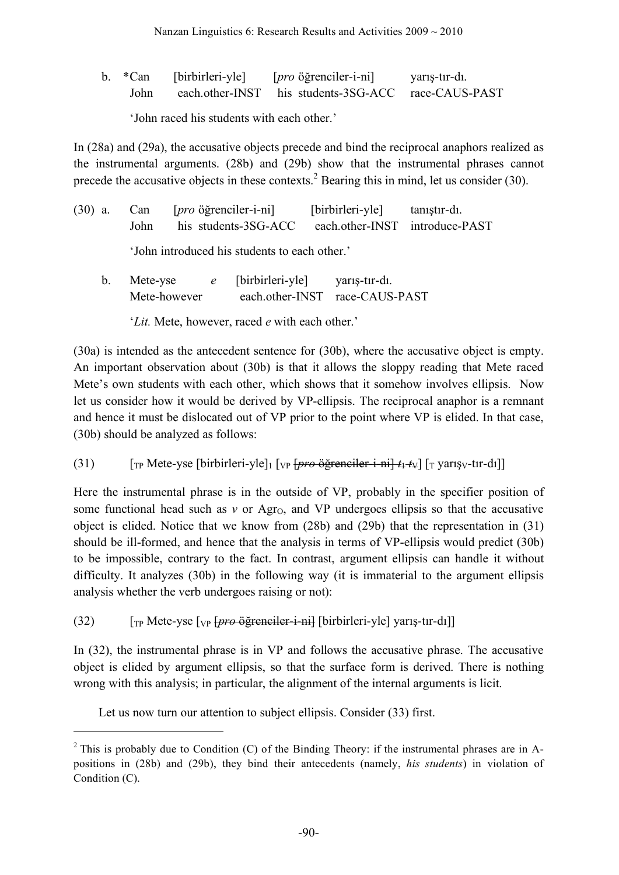|  | b. *Can [birbirleri-yle] | [ <i>pro</i> öğrenciler-i-ni]                            | yarış-tır-dı. |
|--|--------------------------|----------------------------------------------------------|---------------|
|  |                          | John each other-INST his students-3SG-ACC race-CAUS-PAST |               |

'John raced his students with each other.'

In (28a) and (29a), the accusative objects precede and bind the reciprocal anaphors realized as the instrumental arguments. (28b) and (29b) show that the instrumental phrases cannot precede the accusative objects in these contexts.<sup>2</sup> Bearing this in mind, let us consider (30).

| $(30)$ a. |                                              | Can [ <i>pro</i> öğrenciler-i-ni]                        | [birbirleri-yle] tanıştır-dı. |  |  |  |  |
|-----------|----------------------------------------------|----------------------------------------------------------|-------------------------------|--|--|--|--|
|           |                                              | John his students-3SG-ACC each other-INST introduce-PAST |                               |  |  |  |  |
|           | 'Iohn introduced his students to each other' |                                                          |                               |  |  |  |  |

'John introduced his students to each other.'

b. Mete-yse *e* [birbirleri-yle] yarış-tır-dı. Mete-however each.other-INST race-CAUS-PAST

'*Lit.* Mete, however, raced *e* with each other.'

(30a) is intended as the antecedent sentence for (30b), where the accusative object is empty. An important observation about (30b) is that it allows the sloppy reading that Mete raced Mete's own students with each other, which shows that it somehow involves ellipsis. Now let us consider how it would be derived by VP-ellipsis. The reciprocal anaphor is a remnant and hence it must be dislocated out of VP prior to the point where VP is elided. In that case, (30b) should be analyzed as follows:

(31)  $\left[\begin{array}{cc} \text{Trp} \text{ Mete-yse} \end{array}\right]$  [birbirleri-yle]<sub>1</sub>  $\left[\text{VP} \left\{ \frac{\text{pro}}{\text{O}} \right\} \right]$  *pro*  $\left\{ \frac{\text{perp}}{\text{O}} \left\{ \frac{\text{per}}{\text{O}} \left\{ \frac{\text{trp}}{\text{O}} \right\} \right\}$  [T yarışv-tır-dı]]

Here the instrumental phrase is in the outside of VP, probably in the specifier position of some functional head such as  $v$  or Agr<sub>O</sub>, and VP undergoes ellipsis so that the accusative object is elided. Notice that we know from (28b) and (29b) that the representation in (31) should be ill-formed, and hence that the analysis in terms of VP-ellipsis would predict (30b) to be impossible, contrary to the fact. In contrast, argument ellipsis can handle it without difficulty. It analyzes (30b) in the following way (it is immaterial to the argument ellipsis analysis whether the verb undergoes raising or not):

(32) [TP Mete-yse [VP [*pro* öğrenciler-i-ni] [birbirleri-yle] yarış-tır-dı]]

In (32), the instrumental phrase is in VP and follows the accusative phrase. The accusative object is elided by argument ellipsis, so that the surface form is derived. There is nothing wrong with this analysis; in particular, the alignment of the internal arguments is licit.

Let us now turn our attention to subject ellipsis. Consider (33) first.

 $\overline{a}$ 

 $2$  This is probably due to Condition (C) of the Binding Theory: if the instrumental phrases are in Apositions in (28b) and (29b), they bind their antecedents (namely, *his students*) in violation of Condition (C).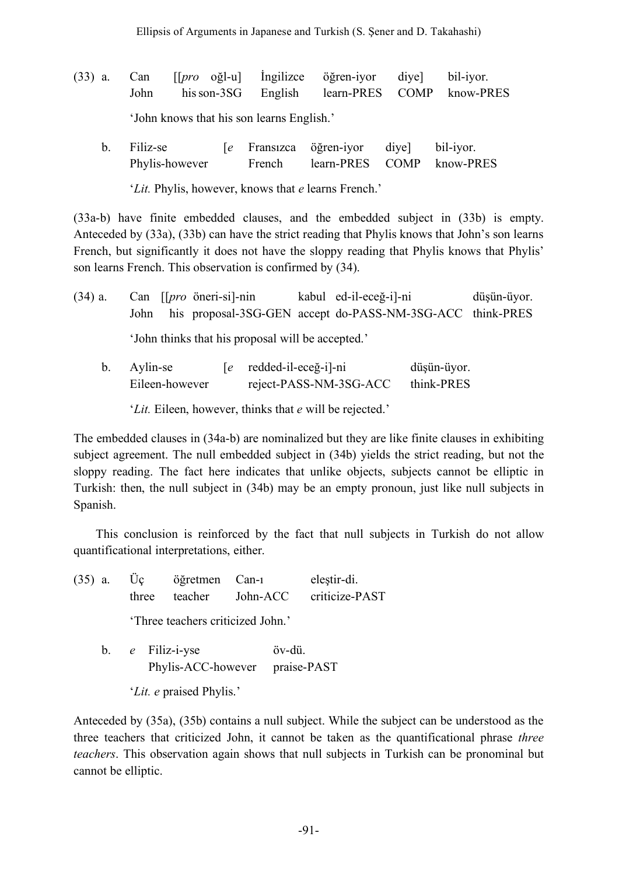- (33) a. Can [[*pro* oğl-u] İngilizce öğren-iyor diye] bil-iyor. John hisson-3SG English learn-PRES COMP know-PRES 'John knows that his son learns English.'
	- b. Filiz-se [*e* Fransızca öğren-iyor diye] bil-iyor. Phylis-however French learn-PRES COMP know-PRES '*Lit.* Phylis, however, knows that *e* learns French.'

(33a-b) have finite embedded clauses, and the embedded subject in (33b) is empty. Anteceded by (33a), (33b) can have the strict reading that Phylis knows that John's son learns French, but significantly it does not have the sloppy reading that Phylis knows that Phylis' son learns French. This observation is confirmed by (34).

- (34) a. Can [[*pro* öneri-si]-nin kabul ed-il-eceğ-i]-ni düşün-üyor. John his proposal-3SG-GEN accept do-PASS-NM-3SG-ACC think-PRES 'John thinks that his proposal will be accepted.'
	- b. Aylin-se [*e* redded-il-eceğ-i]-ni düşün-üyor. Eileen-however reject-PASS-NM-3SG-ACC think-PRES

'*Lit.* Eileen, however, thinks that *e* will be rejected.'

The embedded clauses in (34a-b) are nominalized but they are like finite clauses in exhibiting subject agreement. The null embedded subject in (34b) yields the strict reading, but not the sloppy reading. The fact here indicates that unlike objects, subjects cannot be elliptic in Turkish: then, the null subject in (34b) may be an empty pronoun, just like null subjects in Spanish.

This conclusion is reinforced by the fact that null subjects in Turkish do not allow quantificational interpretations, either.

(35) a. Üç öğretmen Can-ı eleştir-di. three teacher John-ACC criticize-PAST 'Three teachers criticized John.' b. *e* Filiz-i-yse öv-dü.

Phylis-ACC-however praise-PAST

'*Lit. e* praised Phylis.'

Anteceded by (35a), (35b) contains a null subject. While the subject can be understood as the three teachers that criticized John, it cannot be taken as the quantificational phrase *three teachers*. This observation again shows that null subjects in Turkish can be pronominal but cannot be elliptic.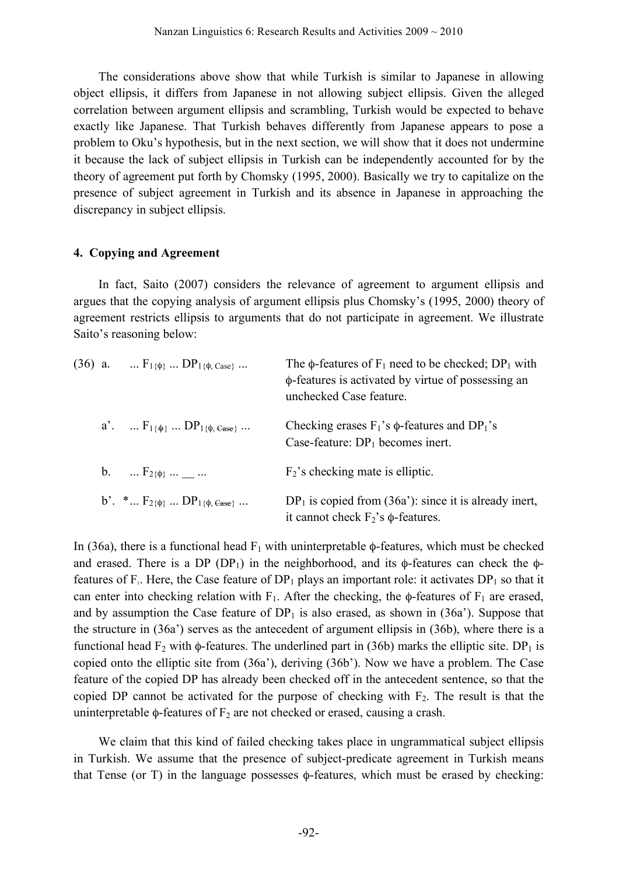The considerations above show that while Turkish is similar to Japanese in allowing object ellipsis, it differs from Japanese in not allowing subject ellipsis. Given the alleged correlation between argument ellipsis and scrambling, Turkish would be expected to behave exactly like Japanese. That Turkish behaves differently from Japanese appears to pose a problem to Oku's hypothesis, but in the next section, we will show that it does not undermine it because the lack of subject ellipsis in Turkish can be independently accounted for by the theory of agreement put forth by Chomsky (1995, 2000). Basically we try to capitalize on the presence of subject agreement in Turkish and its absence in Japanese in approaching the discrepancy in subject ellipsis.

#### **4. Copying and Agreement**

In fact, Saito (2007) considers the relevance of agreement to argument ellipsis and argues that the copying analysis of argument ellipsis plus Chomsky's (1995, 2000) theory of agreement restricts ellipsis to arguments that do not participate in agreement. We illustrate Saito's reasoning below:

| (36) a. $F_{1\{\phi\}}$ $DP_{1\{\phi\}}$ case :      | The $\phi$ -features of $F_1$ need to be checked; DP <sub>1</sub> with<br>φ-features is activated by virtue of possessing an<br>unchecked Case feature. |
|------------------------------------------------------|---------------------------------------------------------------------------------------------------------------------------------------------------------|
| $a'$ . $F_{1\{\phi\}}$ $DP_{1\{\phi, \text{Case}\}}$ | Checking erases $F_1$ 's $\phi$ -features and DP <sub>1</sub> 's<br>Case-feature: $DP_1$ becomes inert.                                                 |
| b. $\ldots$ $F_{2\{\phi\}}$ $\ldots$ $\ldots$        | $F_2$ 's checking mate is elliptic.                                                                                                                     |
| b'. * $F_{2\{\phi\}}$ $DP_{1\{\phi, \text{Case}\}}$  | $DP1$ is copied from (36a'): since it is already inert,<br>it cannot check $F_2$ 's $\phi$ -features.                                                   |

In (36a), there is a functional head  $F_1$  with uninterpretable  $\phi$ -features, which must be checked and erased. There is a DP (DP<sub>1</sub>) in the neighborhood, and its  $\phi$ -features can check the  $\phi$ features of  $F_1$ . Here, the Case feature of  $DP_1$  plays an important role: it activates  $DP_1$  so that it can enter into checking relation with  $F_1$ . After the checking, the φ-features of  $F_1$  are erased, and by assumption the Case feature of  $DP_1$  is also erased, as shown in (36a'). Suppose that the structure in (36a') serves as the antecedent of argument ellipsis in (36b), where there is a functional head  $F_2$  with φ-features. The underlined part in (36b) marks the elliptic site. DP<sub>1</sub> is copied onto the elliptic site from (36a'), deriving (36b'). Now we have a problem. The Case feature of the copied DP has already been checked off in the antecedent sentence, so that the copied DP cannot be activated for the purpose of checking with  $F_2$ . The result is that the uninterpretable  $\phi$ -features of  $F_2$  are not checked or erased, causing a crash.

We claim that this kind of failed checking takes place in ungrammatical subject ellipsis in Turkish. We assume that the presence of subject-predicate agreement in Turkish means that Tense (or T) in the language possesses  $\phi$ -features, which must be erased by checking: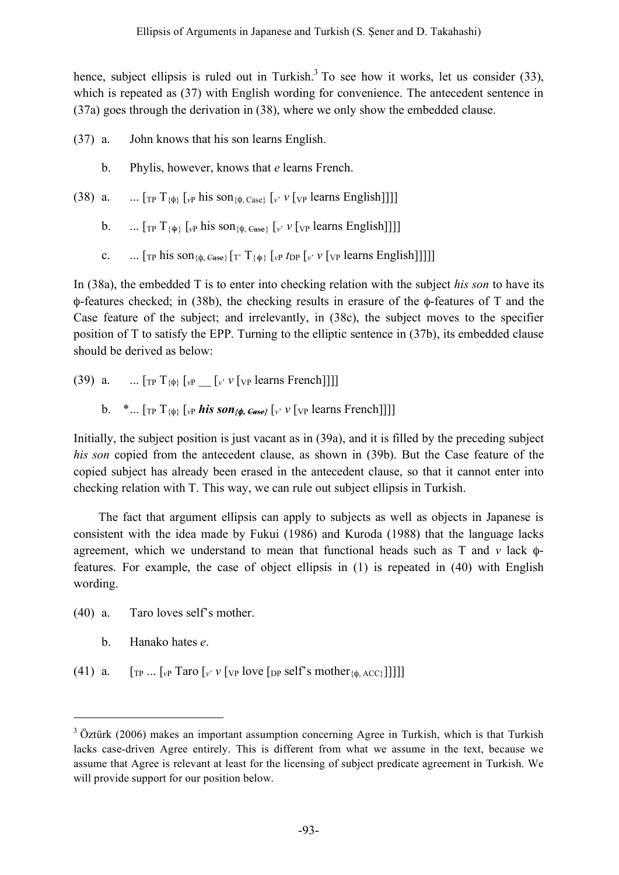hence, subject ellipsis is ruled out in Turkish.<sup>3</sup> To see how it works, let us consider (33), which is repeated as (37) with English wording for convenience. The antecedent sentence in (37a) goes through the derivation in (38), where we only show the embedded clause.

- (37) a. John knows that his son learns English.
	- b. Phylis, however, knows that *e* learns French.
- (38) a. ...  $[\text{TP} T_{\{0\}}]$   $[\text{VP} \text{his son}_{\{0\}}]$   $[\text{Case} \text{V} \text{V} \text{V} \text{V} \text{P} \text{ learns English}]]]$ 
	- b. ...  $[\text{TP} T_{\{\phi\}}]_{\nu}$  his son<sub>{ $\phi$ </sub>  $\in$ <sub>sse}</sub>  $[\nu \nu$  [ $\nu$  [ $\nu$  learns English]]]]
	- c. ...  $[\text{TP} \text{ his son}_{\{\phi, \text{Case}\}}] \cdot [\text{TP} \text{ T}_{\{\phi\}}] \cdot [\text{VP} \text{ I}_{\text{DP}}] \cdot \text{VP} \cdot [\text{VP} \text{ learns English}]]]]$

In (38a), the embedded T is to enter into checking relation with the subject *his son* to have its φ-features checked; in (38b), the checking results in erasure of the φ-features of T and the Case feature of the subject; and irrelevantly, in (38c), the subject moves to the specifier position of T to satisfy the EPP. Turning to the elliptic sentence in (37b), its embedded clause should be derived as below:

- (39) a.  $\ldots$  [<sub>TP</sub>  $T_{\{\phi\}}$  [<sub>*v*</sub>P  $\lceil v \cdot v \rceil$ <sub>VP</sub> learns French]]]]
	- b. \*...  $[\text{TP} T_{\{\phi\}}]$   $[\text{VP} \text{his } \text{son}_{\{\phi, \text{Case}\}}]$   $[\text{V} \text{V} \text{[VP} \text{ learns French}]]]$

Initially, the subject position is just vacant as in (39a), and it is filled by the preceding subject *his son* copied from the antecedent clause, as shown in (39b). But the Case feature of the copied subject has already been erased in the antecedent clause, so that it cannot enter into checking relation with T. This way, we can rule out subject ellipsis in Turkish.

The fact that argument ellipsis can apply to subjects as well as objects in Japanese is consistent with the idea made by Fukui (1986) and Kuroda (1988) that the language lacks agreement, which we understand to mean that functional heads such as T and *v* lack φfeatures. For example, the case of object ellipsis in (1) is repeated in (40) with English wording.

- (40) a. Taro loves self's mother.
	- b. Hanako hates *e*.
- (41) a.  $[r_P \dots [v_P \text{ Taro } [v] \cdot v] \cdot [v_P \text{ love } [p_P \text{ self's mother } [\phi] \cdot \text{ACC} \cdot ]]]]]$

<sup>&</sup>lt;sup>3</sup> Öztürk (2006) makes an important assumption concerning Agree in Turkish, which is that Turkish lacks case-driven Agree entirely. This is different from what we assume in the text, because we assume that Agree is relevant at least for the licensing of subject predicate agreement in Turkish. We will provide support for our position below.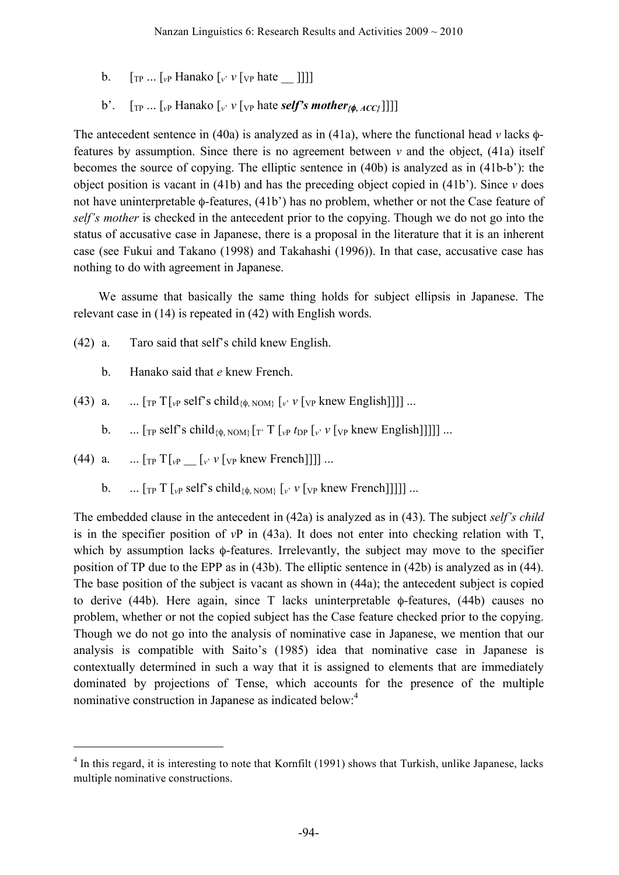- b.  $[\begin{bmatrix} T_P \dots I_{\nu} \end{bmatrix}]$  Hanako  $[\begin{bmatrix} v \end{bmatrix}$   $V[\begin{bmatrix} v \end{bmatrix}]$  hate  $[\begin{bmatrix} v \end{bmatrix}]$
- b'.  $\left[\begin{array}{ccc} \n\text{Tr} & \n\text{Tr} & \n\end{array}\right]$  [*v*<sup>*y*</sup>  $\left[\begin{array}{ccc} \n\text{Tr} & \n\end{array}\right]$  [*v*<sup>*y*</sup>  $\left[\begin{array}{ccc} \n\text{Tr} & \n\end{array}\right]$  [*v*<sup>*y*</sup>  $\left[\begin{array}{ccc} \n\text{Tr} & \n\end{array}\right]$ *f*  $\left[\begin{array}{ccc} \n\text{Tr} & \n\end{array}\right]$ *f*  $\left[\begin{array}{ccc} \n\text{Tr} & \n\end{array}\right]$

The antecedent sentence in (40a) is analyzed as in (41a), where the functional head *v* lacks φfeatures by assumption. Since there is no agreement between  $v$  and the object, (41a) itself becomes the source of copying. The elliptic sentence in (40b) is analyzed as in (41b-b'): the object position is vacant in (41b) and has the preceding object copied in (41b'). Since *v* does not have uninterpretable φ-features, (41b') has no problem, whether or not the Case feature of *self's mother* is checked in the antecedent prior to the copying. Though we do not go into the status of accusative case in Japanese, there is a proposal in the literature that it is an inherent case (see Fukui and Takano (1998) and Takahashi (1996)). In that case, accusative case has nothing to do with agreement in Japanese.

We assume that basically the same thing holds for subject ellipsis in Japanese. The relevant case in (14) is repeated in (42) with English words.

- (42) a. Taro said that self's child knew English.
	- b. Hanako said that *e* knew French.
- (43) a. ...  $[\text{TP} T]_{\nu}$  self's child<sub>{ $\phi$ , NOM}</sub>  $[\nu \nu]$  [ $\nu$  knew English]]]] ...
	- b.  $\ldots$  [<sub>TP</sub> self's child<sub>{ $\phi$ </sub> NOM} [ $\ldots$ ]  $\lceil \frac{v}{\nu} \frac{v}{\nu} \rceil$  [ $\frac{v}{\nu} \frac{v}{\nu}$  [ $\frac{v}{\nu}$  knew English]]]]] ...
- (44) a. ...  $[\text{TP} T]_{v} = [\text{p} V]_{v}$  knew French]]]] ...
	- b.  $\ln \left[ \int_{\mathbb{R}^p} T \left[ \int_{\mathbb{R}^p} \text{self}^s \text{ child}_{\{\phi, \text{NOM}\}} \left[ \int_{\mathbb{R}^p} \mathcal{V} \left[ \text{V}_p \text{ knew French} \right] \right] \right] \right] \dots$

The embedded clause in the antecedent in (42a) is analyzed as in (43). The subject *self's child* is in the specifier position of *v*P in (43a). It does not enter into checking relation with T, which by assumption lacks  $\phi$ -features. Irrelevantly, the subject may move to the specifier position of TP due to the EPP as in (43b). The elliptic sentence in (42b) is analyzed as in (44). The base position of the subject is vacant as shown in (44a); the antecedent subject is copied to derive (44b). Here again, since T lacks uninterpretable φ-features, (44b) causes no problem, whether or not the copied subject has the Case feature checked prior to the copying. Though we do not go into the analysis of nominative case in Japanese, we mention that our analysis is compatible with Saito's (1985) idea that nominative case in Japanese is contextually determined in such a way that it is assigned to elements that are immediately dominated by projections of Tense, which accounts for the presence of the multiple nominative construction in Japanese as indicated below.<sup>4</sup>

<sup>&</sup>lt;sup>4</sup> In this regard, it is interesting to note that Kornfilt (1991) shows that Turkish, unlike Japanese, lacks multiple nominative constructions.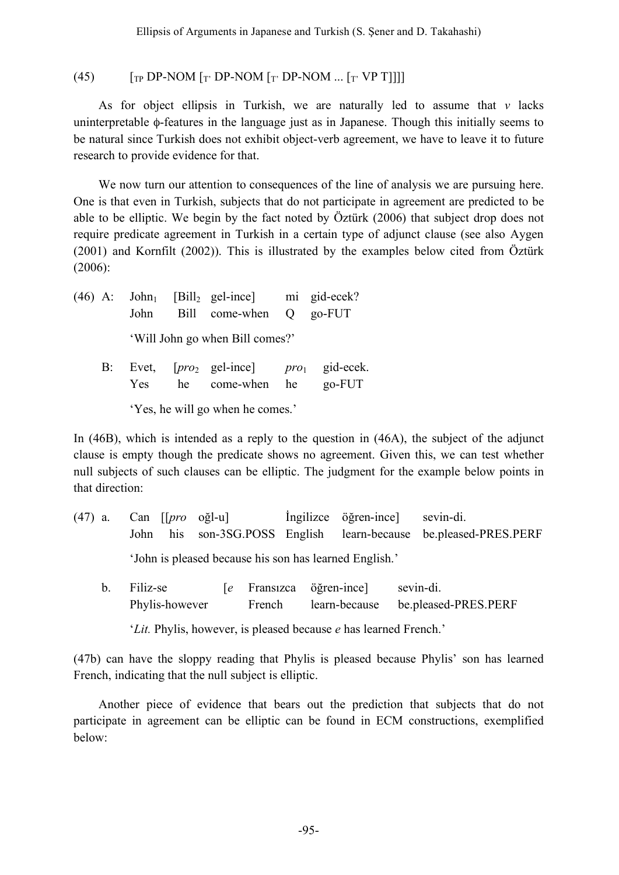### (45)  $\left[\begin{array}{cc} \text{TP} & \text{DP-NOM} \end{array}\right]$  [Te DP-NOM  $\left[\begin{array}{cc} \text{TP} & \text{DP-NOM} \end{array}\right]$ . [Te VP T]]]]

As for object ellipsis in Turkish, we are naturally led to assume that *v* lacks uninterpretable φ-features in the language just as in Japanese. Though this initially seems to be natural since Turkish does not exhibit object-verb agreement, we have to leave it to future research to provide evidence for that.

We now turn our attention to consequences of the line of analysis we are pursuing here. One is that even in Turkish, subjects that do not participate in agreement are predicted to be able to be elliptic. We begin by the fact noted by Öztürk (2006) that subject drop does not require predicate agreement in Turkish in a certain type of adjunct clause (see also Aygen (2001) and Kornfilt (2002)). This is illustrated by the examples below cited from Öztürk (2006):

 $(46)$  A: John<sub>1</sub> [Bill<sub>2</sub> gel-ince] mi gid-ecek? John Bill come-when Q go-FUT 'Will John go when Bill comes?'

B: Evet, [pro<sub>2</sub> gel-ince] pro<sub>1</sub> gid-ecek. Yes he come-when he go-FUT

'Yes, he will go when he comes.'

In (46B), which is intended as a reply to the question in (46A), the subject of the adjunct clause is empty though the predicate shows no agreement. Given this, we can test whether null subjects of such clauses can be elliptic. The judgment for the example below points in that direction:

- (47) a. Can [[*pro* oğl-u] İngilizce öğren-ince] sevin-di. John his son-3SG.POSS English learn-because be.pleased-PRES.PERF 'John is pleased because his son has learned English.'
	- b. Filiz-se [*e* Fransızca öğren-ince] sevin-di. Phylis-however French learn-because be.pleased-PRES.PERF

'*Lit.* Phylis, however, is pleased because *e* has learned French.'

(47b) can have the sloppy reading that Phylis is pleased because Phylis' son has learned French, indicating that the null subject is elliptic.

Another piece of evidence that bears out the prediction that subjects that do not participate in agreement can be elliptic can be found in ECM constructions, exemplified below: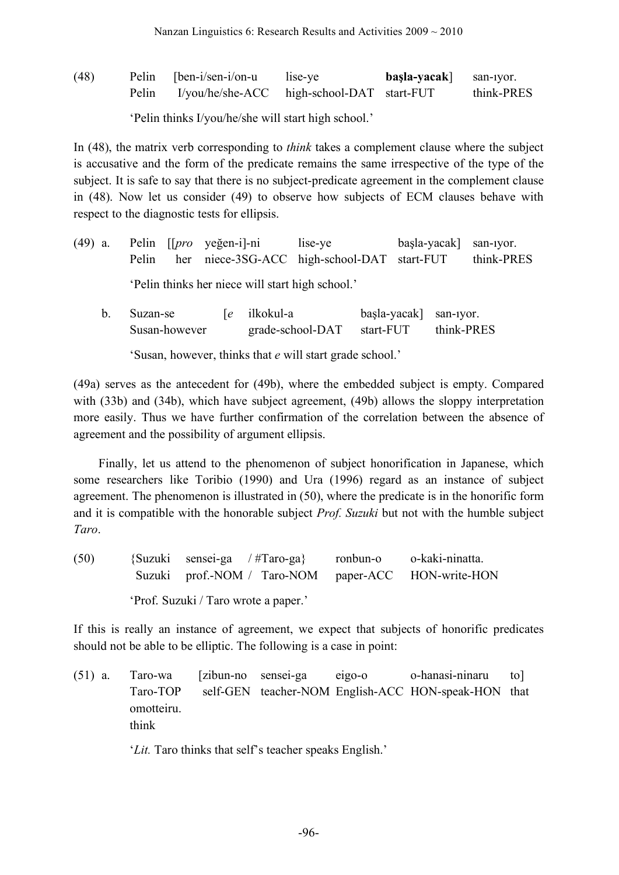(48) Pelin [ben-i/sen-i/on-u lise-ye **başla-yacak**] san-ıyor. Pelin I/you/he/she-ACC high-school-DAT start-FUT think-PRES

'Pelin thinks I/you/he/she will start high school.'

In (48), the matrix verb corresponding to *think* takes a complement clause where the subject is accusative and the form of the predicate remains the same irrespective of the type of the subject. It is safe to say that there is no subject-predicate agreement in the complement clause in (48). Now let us consider (49) to observe how subjects of ECM clauses behave with respect to the diagnostic tests for ellipsis.

|                                                  |  | (49) a. Pelin [[ <i>pro</i> yeğen-i]-ni | lise-ye                                           | $basla$ -yacak san-iyor. |            |  |  |
|--------------------------------------------------|--|-----------------------------------------|---------------------------------------------------|--------------------------|------------|--|--|
|                                                  |  |                                         | Pelin her niece-3SG-ACC high-school-DAT start-FUT |                          | think-PRES |  |  |
| 'Pelin thinks her niece will start high school.' |  |                                         |                                                   |                          |            |  |  |

| Suzan-se      | [e ilkokul-a     | başla-yacak] san-1yor. |            |
|---------------|------------------|------------------------|------------|
| Susan-however | grade-school-DAT | start-FUT              | think-PRES |

'Susan, however, thinks that *e* will start grade school.'

(49a) serves as the antecedent for (49b), where the embedded subject is empty. Compared with (33b) and (34b), which have subject agreement, (49b) allows the sloppy interpretation more easily. Thus we have further confirmation of the correlation between the absence of agreement and the possibility of argument ellipsis.

Finally, let us attend to the phenomenon of subject honorification in Japanese, which some researchers like Toribio (1990) and Ura (1996) regard as an instance of subject agreement. The phenomenon is illustrated in (50), where the predicate is in the honorific form and it is compatible with the honorable subject *Prof. Suzuki* but not with the humble subject *Taro*.

(50) {Suzuki sensei-ga / #Taro-ga} ronbun-o o-kaki-ninatta. Suzuki prof.-NOM / Taro-NOM paper-ACC HON-write-HON 'Prof. Suzuki / Taro wrote a paper.'

If this is really an instance of agreement, we expect that subjects of honorific predicates should not be able to be elliptic. The following is a case in point:

(51) a. Taro-wa [zibun-no sensei-ga eigo-o o-hanasi-ninaru to] Taro-TOP self-GEN teacher-NOM English-ACC HON-speak-HON that omotteiru. think

'*Lit.* Taro thinks that self's teacher speaks English.'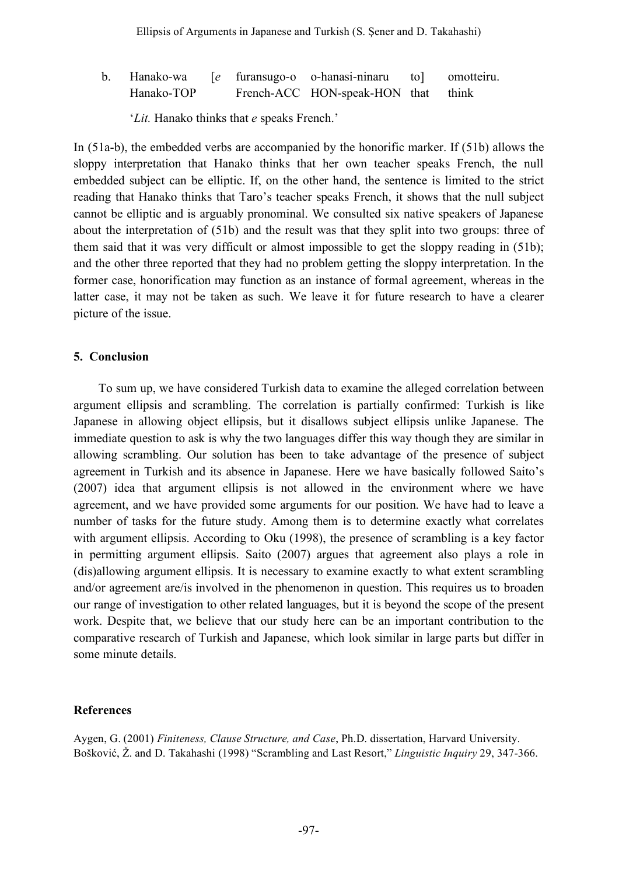| $\mathbf{b}$ . |            |  | Hanako-wa [e furansugo-o o-hanasi-ninaru to] | omotteiru. |
|----------------|------------|--|----------------------------------------------|------------|
|                | Hanako-TOP |  | French-ACC HON-speak-HON that think          |            |

'*Lit.* Hanako thinks that *e* speaks French.'

In (51a-b), the embedded verbs are accompanied by the honorific marker. If (51b) allows the sloppy interpretation that Hanako thinks that her own teacher speaks French, the null embedded subject can be elliptic. If, on the other hand, the sentence is limited to the strict reading that Hanako thinks that Taro's teacher speaks French, it shows that the null subject cannot be elliptic and is arguably pronominal. We consulted six native speakers of Japanese about the interpretation of (51b) and the result was that they split into two groups: three of them said that it was very difficult or almost impossible to get the sloppy reading in (51b); and the other three reported that they had no problem getting the sloppy interpretation. In the former case, honorification may function as an instance of formal agreement, whereas in the latter case, it may not be taken as such. We leave it for future research to have a clearer picture of the issue.

### **5. Conclusion**

To sum up, we have considered Turkish data to examine the alleged correlation between argument ellipsis and scrambling. The correlation is partially confirmed: Turkish is like Japanese in allowing object ellipsis, but it disallows subject ellipsis unlike Japanese. The immediate question to ask is why the two languages differ this way though they are similar in allowing scrambling. Our solution has been to take advantage of the presence of subject agreement in Turkish and its absence in Japanese. Here we have basically followed Saito's (2007) idea that argument ellipsis is not allowed in the environment where we have agreement, and we have provided some arguments for our position. We have had to leave a number of tasks for the future study. Among them is to determine exactly what correlates with argument ellipsis. According to Oku (1998), the presence of scrambling is a key factor in permitting argument ellipsis. Saito (2007) argues that agreement also plays a role in (dis)allowing argument ellipsis. It is necessary to examine exactly to what extent scrambling and/or agreement are/is involved in the phenomenon in question. This requires us to broaden our range of investigation to other related languages, but it is beyond the scope of the present work. Despite that, we believe that our study here can be an important contribution to the comparative research of Turkish and Japanese, which look similar in large parts but differ in some minute details.

### **References**

Aygen, G. (2001) *Finiteness, Clause Structure, and Case*, Ph.D. dissertation, Harvard University. Bošković, Ž. and D. Takahashi (1998) "Scrambling and Last Resort," *Linguistic Inquiry* 29, 347-366.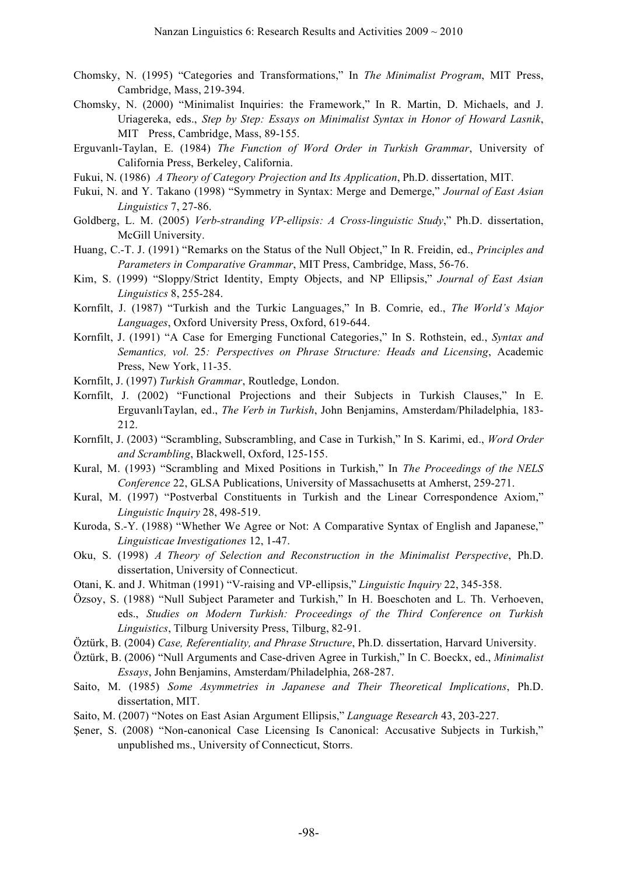- Chomsky, N. (1995) "Categories and Transformations," In *The Minimalist Program*, MIT Press, Cambridge, Mass, 219-394.
- Chomsky, N. (2000) "Minimalist Inquiries: the Framework," In R. Martin, D. Michaels, and J. Uriagereka, eds., *Step by Step: Essays on Minimalist Syntax in Honor of Howard Lasnik*, MIT Press, Cambridge, Mass, 89-155.
- Erguvanlı-Taylan, E. (1984) *The Function of Word Order in Turkish Grammar*, University of California Press, Berkeley, California.
- Fukui, N. (1986) *A Theory of Category Projection and Its Application*, Ph.D. dissertation, MIT.
- Fukui, N. and Y. Takano (1998) "Symmetry in Syntax: Merge and Demerge," *Journal of East Asian Linguistics* 7, 27-86.
- Goldberg, L. M. (2005) *Verb-stranding VP-ellipsis: A Cross-linguistic Study*," Ph.D. dissertation, McGill University.
- Huang, C.-T. J. (1991) "Remarks on the Status of the Null Object," In R. Freidin, ed., *Principles and Parameters in Comparative Grammar*, MIT Press, Cambridge, Mass, 56-76.
- Kim, S. (1999) "Sloppy/Strict Identity, Empty Objects, and NP Ellipsis," *Journal of East Asian Linguistics* 8, 255-284.
- Kornfilt, J. (1987) "Turkish and the Turkic Languages," In B. Comrie, ed., *The World's Major Languages*, Oxford University Press, Oxford, 619-644.
- Kornfilt, J. (1991) "A Case for Emerging Functional Categories," In S. Rothstein, ed., *Syntax and Semantics, vol.* 25*: Perspectives on Phrase Structure: Heads and Licensing*, Academic Press, New York, 11-35.
- Kornfilt, J. (1997) *Turkish Grammar*, Routledge, London.
- Kornfilt, J. (2002) "Functional Projections and their Subjects in Turkish Clauses," In E. ErguvanlıTaylan, ed., *The Verb in Turkish*, John Benjamins, Amsterdam/Philadelphia, 183- 212.
- Kornfilt, J. (2003) "Scrambling, Subscrambling, and Case in Turkish," In S. Karimi, ed., *Word Order and Scrambling*, Blackwell, Oxford, 125-155.
- Kural, M. (1993) "Scrambling and Mixed Positions in Turkish," In *The Proceedings of the NELS Conference* 22, GLSA Publications, University of Massachusetts at Amherst, 259-271.
- Kural, M. (1997) "Postverbal Constituents in Turkish and the Linear Correspondence Axiom," *Linguistic Inquiry* 28, 498-519.
- Kuroda, S.-Y. (1988) "Whether We Agree or Not: A Comparative Syntax of English and Japanese," *Linguisticae Investigationes* 12, 1-47.
- Oku, S. (1998) *A Theory of Selection and Reconstruction in the Minimalist Perspective*, Ph.D. dissertation, University of Connecticut.
- Otani, K. and J. Whitman (1991) "V-raising and VP-ellipsis," *Linguistic Inquiry* 22, 345-358.
- Özsoy, S. (1988) "Null Subject Parameter and Turkish," In H. Boeschoten and L. Th. Verhoeven, eds., *Studies on Modern Turkish: Proceedings of the Third Conference on Turkish Linguistics*, Tilburg University Press, Tilburg, 82-91.
- Öztürk, B. (2004) *Case, Referentiality, and Phrase Structure*, Ph.D. dissertation, Harvard University.
- Öztürk, B. (2006) "Null Arguments and Case-driven Agree in Turkish," In C. Boeckx, ed., *Minimalist Essays*, John Benjamins, Amsterdam/Philadelphia, 268-287.
- Saito, M. (1985) *Some Asymmetries in Japanese and Their Theoretical Implications*, Ph.D. dissertation, MIT.
- Saito, M. (2007) "Notes on East Asian Argument Ellipsis," *Language Research* 43, 203-227.
- Şener, S. (2008) "Non-canonical Case Licensing Is Canonical: Accusative Subjects in Turkish," unpublished ms., University of Connecticut, Storrs.